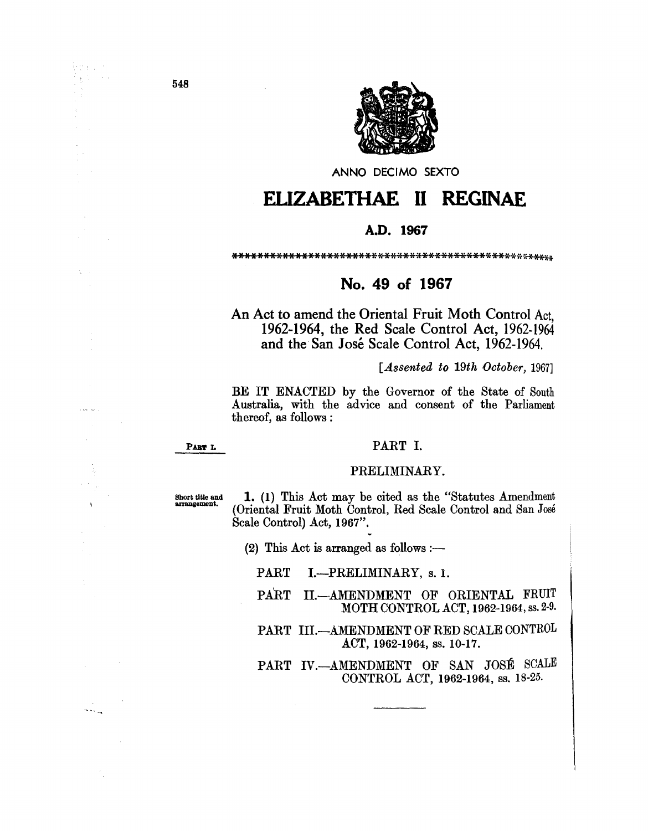

ANNO DECIMO SEXTO

## **EUZABETHAE 11 REGINAE**

## **A.D. 1967**

## **No. 49 of 1967**

An Act to amend the Oriental Fruit Moth Control Act, 1962-1964, the Red Scale Control Act, 1962-1964 and the San José Scale Control Act, 1962-1964.

*[Assented to 19th October, 1967]* 

BE IT ENACTED by the Governor of the State of South Australia, with the advice and consent of the Parliament thereof, as follows:

PART L

## PART I.

## PRELIMINARY.

Short title and arrangement.

1. (1) This Act may be cited as the "Statutes Amendment (Oriental Fruit Moth Control, Red Scale Control and San José Scale Control) Act, 1967".

(2) This Act is arranged as follows :-

PART I.-PRELIMINARY, s. 1.

PART II.-AMENDMENT OF ORIENTAL FRUIT MOTH CONTROL ACT, 1962-1964, ss. 2·9.

PART III.-AMENDMENT OF RED SCALE CONTROL ACT, 1962-1964, ss. 10-17.

PART IV.--AMENDMENT OF SAN JOSÉ SCALE CONTROL ACT, 1962-1964, ss. 18-25.

Prast

.<br>. . . . . . .

 $\overline{\phantom{a}}$ 

.<br>\* \* \* <sub>\* \*</sub>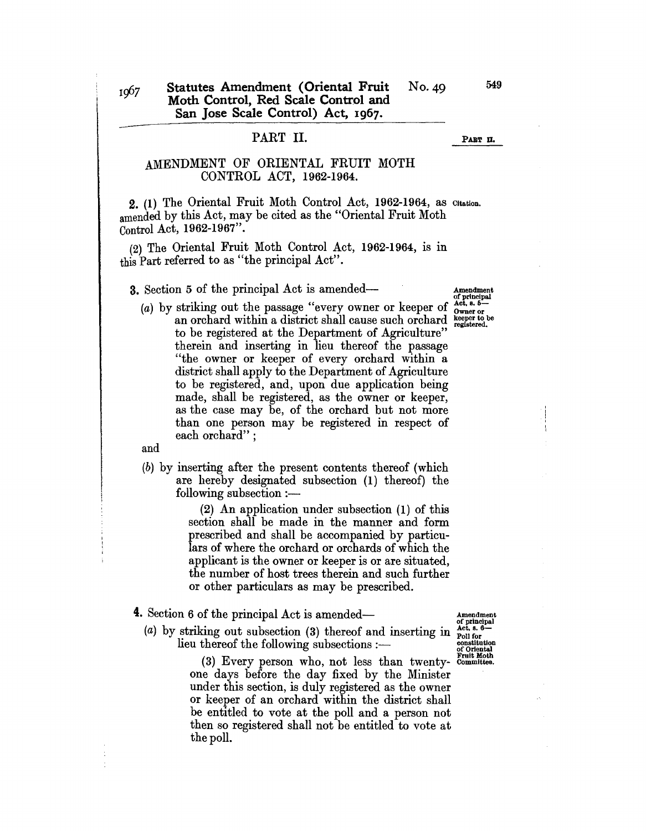## PART II.

#### PART II.

## AMENDMENT OF ORIENTAL FRUIT MOTH CONTROL ACT, 1962-1964.

2. (1) The Oriental Fruit Moth Control Act, 1962-1964, as Citation. amended by this Act, may be cited as the "Oriental Fruit Moth Control Act, 1962-1967".

 $(2)$  The Oriental Fruit Moth Control Act, 1962-1964, is in this Part referred to as "the principal Act".

3. Section 5 of the principal Act is amended-<br>Amendment

(a) by striking out the passage "every owner or keeper of  $_{\text{Owner or}}^{Act, s. 5-}$ an orchard within a district shall cause such orchard registered. to be registered at the Department of Agriculture" therein and inserting in lieu thereof the passage "the owner or keeper of every orchard within a district shall apply to the Department of Agriculture to be registered, and, upon due application being made, shall be registered, as the owner or keeper, as the case may be, of the orchard but not more than one person may be registered in respect of each orchard" ;

and

(b) by inserting after the present contents thereof (which are hereby designated subsection (1) thereof) the  $following$  subsection  $:$ ---

> (2) An application under subsection (1) of this section shall be made in the manner and form prescribed and shall be accompanied by particulars of where the orchard or orchards of which the applicant is the owner or keeper is or are situated, the number of host trees therein and such further or other particulars as may be prescribed.

- **4.** Section 6 of the principal Act is amended— $\overline{a}$   $A$   $A$   $A$   $A$   $A$   $B$   $B$   $B$ 
	- (a) by striking out subsection (3) thereof and inserting in  $_{\text{roll for}}^{\text{Act, 8.6}}$  lieu thereof the following subsections :---

(3) Every person who, not less than twenty- Committee. one days before the day fixed by the Minister under this section, is duly registered as the owner or keeper of an orchard within the district shall be entitled to vote at the poll and a person not then so registered shall not be entitled to vote at the poll.

of principal<br>Act, s. 5-

549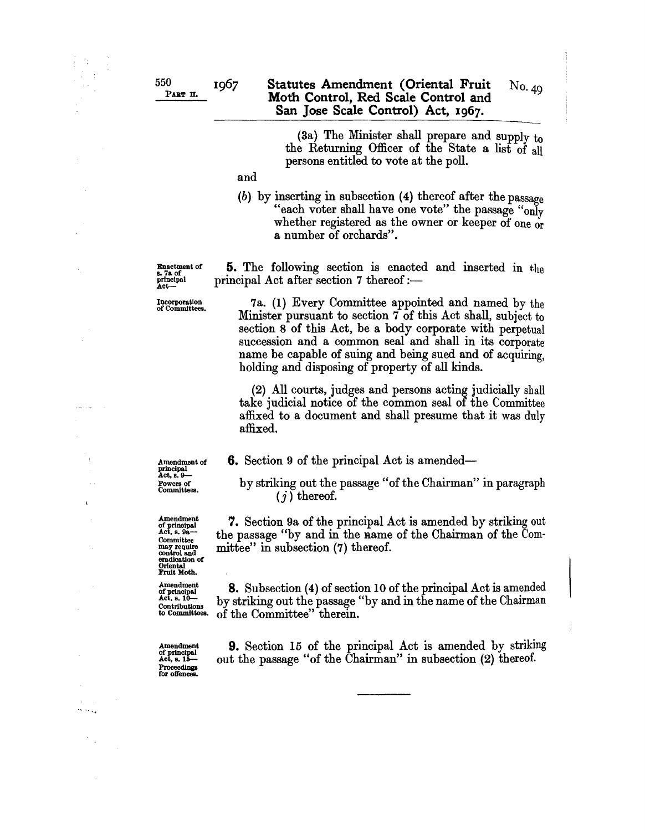#### **Statutes Amendment (Oriental Fruit**  No. 49 **Moth Control, Red Scale Control and San Jose Scale Control) Act,** 1967.

(3a) The Minister shall prepare and supply  $t_0$ the Returning Officer of the State a list of all persons entitled to vote at the poll.

and

(b) by inserting in subsection (4) thereof after the passage "each voter shall have one vote" the passage "only whether registered as the owner or keeper of one or a number of orchards".

Enactment of principal Act-

Incorporation of Committees.

7a. (1) Every Committee appointed and named by the Minister pursuant to section 7 of this Act shall, subject to section 8 of this Act, be a body corporate with perpetual succession and a common seal and shall in its corporate name be capable of suing and being sued and of acquiring, holding and disposing of property of all kinds.

**5.** The following section is enacted and inserted in the

principal Act after section 7 thereof: $-$ 

(2) All courts, judges and persons acting judicially shall take judicial notice of the common seal of the Committee affixed to a document and shall presume that it was duly affixed.

**6.** Section 9 of the principal Act is amended-

by striking out the passage" of the Chairman" in paragraph  $(j)$  thereof.

7. Section 9a of the principal Act is amended by striking out the passage "by and in the Rame of the Chairman of the Committee" in subsection (7) thereof.

**8.** Subsection (4) of section 10 of the principal Act is amended by striking out the passage "by and in the name of the Chairman of the Committee" therein.

Amendment of principal Act, 8. 16- **Proceedings** for offences

**9.** Section 15 of the principal Act is amended by striking out the passage "of the Chairman" in subsection (2) thereof.

Amendment of principal Act, 8. 9- Powers of Committees.

 $\lambda$ 

a<br>Basa

Amendment of principal Act, s. 9a-**Committee** may require control and eradication of

Amendment of principal<br>Act, s. 10-Contributions to Committees.

Oriental Fruit Moth.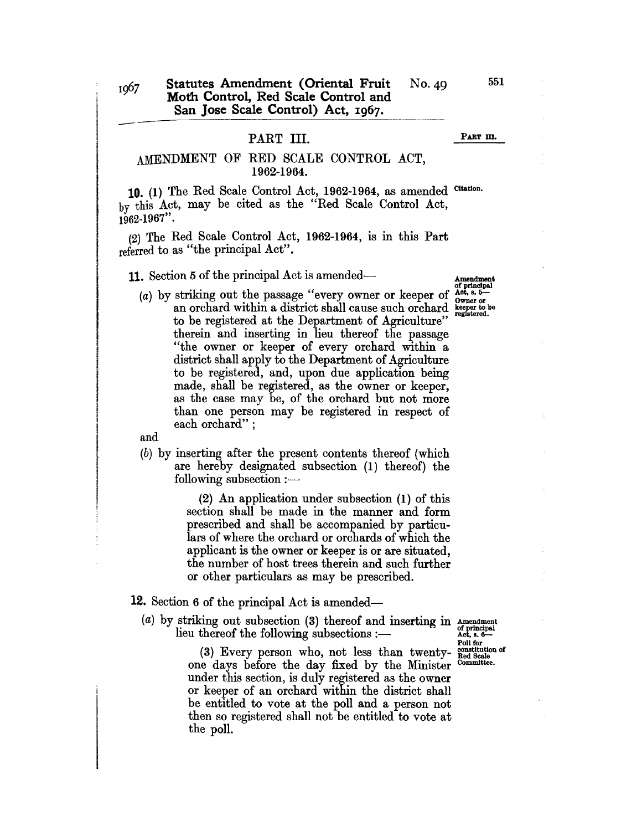## PART III.

#### PART m.

## AMENDMENT OF RED SCALE CONTROL ACT, 1962-1964.

10. (1) The Red Scale Control Act, 1962-1964, as amended Citation. by this Act, may be cited as the "Red Scale Control Act,  $1962 - 1967$ ".

(2) The Red Scale Control Act, 1962-1964, is in this Part referred to as "the principal Act".

**11.** Section 5 of the principal Act is amended— $A$ <sup>mendment</sup>

# of principal<br>Act. s. 5-

(a) by striking out the passage "every owner or keeper of  $\frac{\text{Act. s. 6--}}{\text{Owner}}$  an orchard within a district shall cause such orchard  $\frac{\text{keeper to be}}{\text{registered.}}$ an orchard within a district shall cause such orchard to be registered at the Department of Agriculture" therein and inserting in lieu thereof the passage "the owner or keeper of every orchard within a district shall apply to the Department of Agriculture to be registered, and, upon due application being made, shall be registered, as the owner or keeper, as the case may be, of the orchard but not more than one person may be registered in respect of each orchard";

and

(b) by inserting after the present contents thereof (which are hereby designated subsection (1) thereof) the  $following$  subsection  $:$ ---

> (2) An application under subsection (1) of this section shall be made in the manner and form prescribed and shall be accompanied by particulars of where the orchard or orchards of which the applicant is the owner or keeper is or are situated, the number of host trees therein and such further or other particulars as may be prescribed.

## 12. Section 6 of the principal Act is amended-

(a) by striking out subsection (3) thereof and inserting in Amendment lieu thereof the following subsections:-

Poll for<br>
constitution of<br>
Red Scale<br>
Committee.

 $(3)$  Every person who, not less than twentyone days before the day fixed by the Minister under this section, is duly registered as the owner or keeper of an orchard within the district shall be entitled to vote at the poll and a person not then so registered shall not be entitled to vote at the poll.

551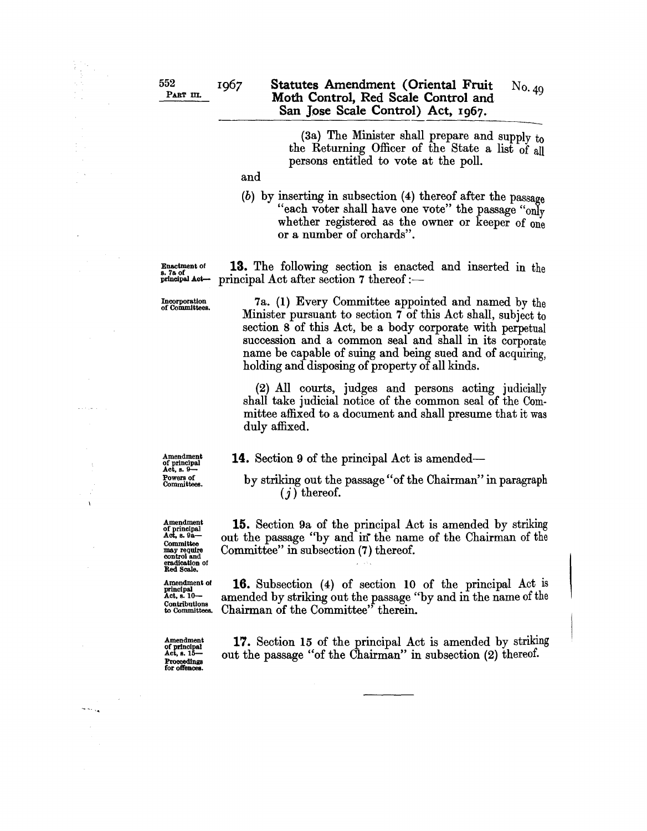#### 1967 Statutes Amendment (Oriental Fruit No. 49 Moth Control, Red Scale Control and San Jose Scale Control) Act, I967.

(3a) The Minister shall prepare and supply  $t_0$ the Returning Officer of the State a list of all persons entitled to vote at the poll.

and

(b) by inserting in subsection (4) thereof after the passage "each voter shall have one vote" the passage "only whether registered as the owner or keeper of one or a number of orchards".

Enactment of principal Actprincipal Act after section 7 thereof :-

Incorporation of Committees.

7a. (1) Every Committee appointed and named by the Minister pursuant to section 7 of this Act shall, subject to section 8 of this Act, be a body corporate with perpetual succession and a common seal and shall in its corporate name be capable of suing and being sued and of acquiring, holding and disposing of property of all kinds.

13. The following section is enacted and inserted in the

(2) All courts, judges and persons acting judicially shall take judicial notice of the common seal of the Committee affixed to a document and shall presume that it was duly affixed.

14. Section 9 of the principal Act is amended-

Amendment of principal<br>Act, s. 9-

by striking out the passage" of the Chairman" in paragraph  $(j)$  thereof.

15. Section 9a of the principal Act is amended by striking out the passage "by and in the name of the Chairman of the Committee" in subsection (7) thereof.

16. Subsection (4) of section 10 of the principal Act is amended by striking out the passage "by and in the name of the Chairman of the Committee" therein.

Amendment of principal<br>Act, s. 15-Proceedings<br>for offences.

ل به ح

17. Section 15 of the principal Act is amended by striking out the passage "of the Chairman" in subsection (2) thereof.

Powers of Committees.

Amendment of principal Act, 8. 9a-Committee may require control and eradication of Red Scale.

Amendment of principal<br>Act, s. 10— Contributions to Committees.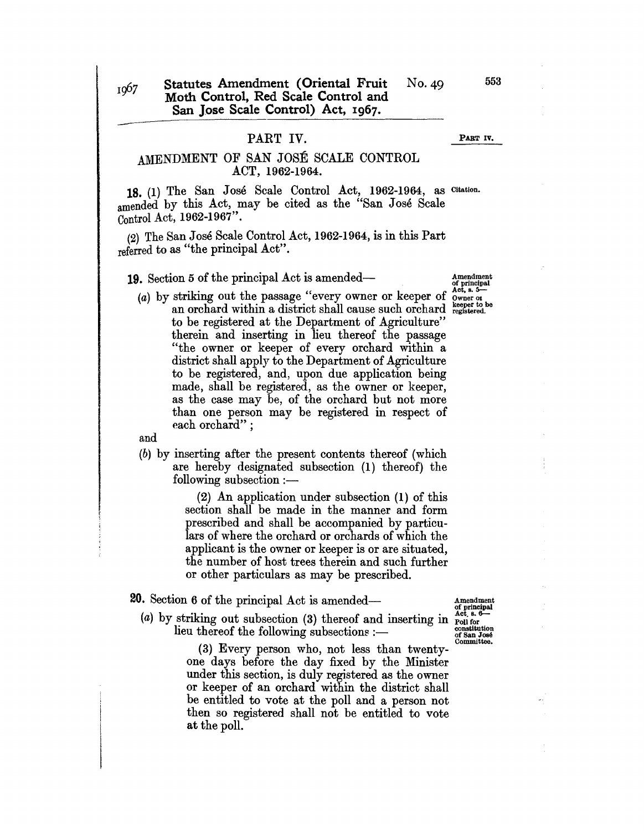## PART IV.

#### PART IV.

## AMENDMENT OF SAN JOSE SCALE CONTROL ACT, 1962-1964.

18. (1) The San Jose Scale Control Act, 1962-1964, as Citation. amended by this Act, may be cited as the "San Jose Scale Control Act, 1962-1967".

(2) The San Jose Scale Control Act, 1962-1964, is in this Part referred to as "the principal Act".

**19.** Section 5 of the principal Act is amended—  $\frac{4}{7}$  Amendment of principal

(a) by striking out the passage "every owner or keeper of  $\alpha_{\text{vertex}}^{\text{A}}$ ."
an orchard within a district shall cause such orchard  $\alpha_{\text{registered}}^{\text{A}}$ to be registered at the Department of Agriculture" therein and inserting in lieu thereof the passage "the owner or keeper of every orchard within a district shall apply to the Department of Agriculture to be registered, and, upon due application being made, shall be registered, as the owner or keeper, as the case may be, of the orchard but not more than one person may be registered in respect of each orchard" ;

and

(b) by inserting after the present contents thereof (which are hereby designated subsection (1) thereof) the  $following$  subsection  $:$ -

> (2) An application under subsection (1) of this section shall be made in the manner and form prescribed and shall be accompanied by particulars of where the orchard or orchards of which the applicant is the owner or keeper is or are situated, the number of host trees therein and such further or other particulars as may be prescribed.

## **20.** Section 6 of the principal Act is amended— $\frac{1}{2}$  Amendment

(a) by striking out subsection (3) thereof and inserting in  $_{\text{cont}}^{\text{act, 6.}}$ <br>lieu thereof the following subsections :--

(3) Every person who, not less than twentyone days before the day fixed by the Minister under this section, is duly registered as the owner or keeper of an orchard within the district shall be entitled to vote at the poll and a person not then so registered shall not be entitled to vote at the poll.

of principal  $Act. 8.6-$ 



553